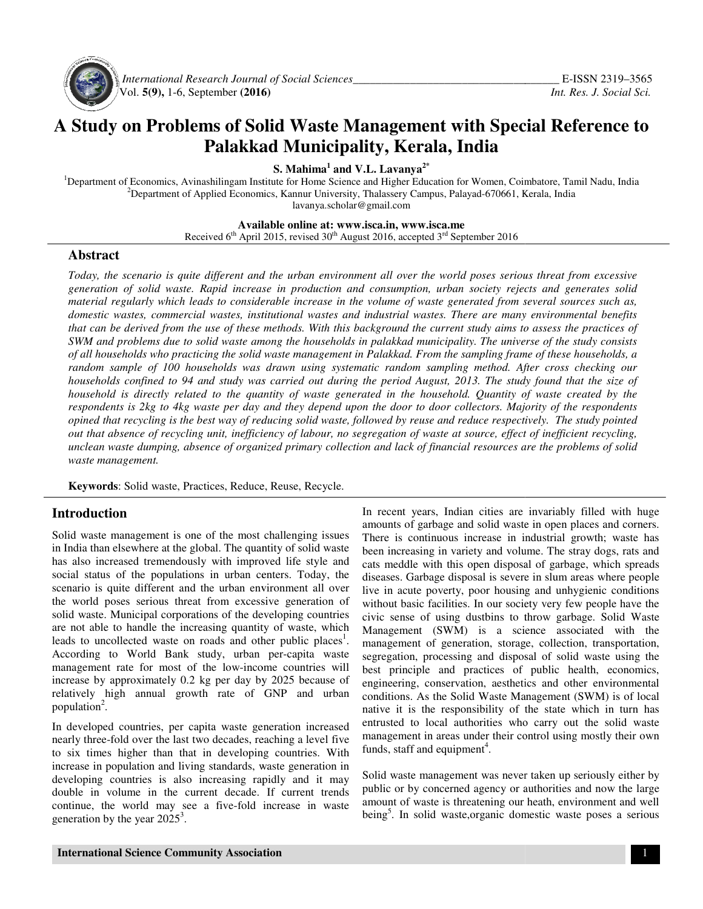

 *International Research Journal Journal of Social Sciences\_\_\_\_\_\_\_\_\_\_\_\_\_\_\_\_\_\_\_\_\_\_\_\_\_\_\_\_\_\_\_\_\_\_\_* Vol. **5(9),** 1-6, September **(2016) (2016)** 

# **A Study on Problems of Solid Waste Management with Special Reference to Palakkad Municipality, Kerala, India**

**S. Mahima<sup>1</sup> and V.L. Lavanya2\***

<sup>1</sup>Department of Economics, Avinashilingam Institute for Home Science and Higher Education for Women, Coimbatore, Tamil Nadu, India <sup>2</sup>Department of Applied Economics, Kannur University, Thalassery Campus, Palayad-670661, Kerala, India lavanya.scholar@gmail.com

**Available Available online at: www.isca.in, www.isca.me** 

Received  $6^{th}$  April 2015, revised 30<sup>th</sup> August 2016, accepted 3<sup>rd</sup> September 2016

#### **Abstract**

*Today, the scenario is quite different and the urban environment all over the world poses serious threat from excessive generation of solid waste. Rapid increase in production and consumption, urban society rejects and generates solid material regularly which leads to considerable increase in the volume of waste generated from several sources such as, domestic wastes, commercial wastes, institutional wastes and industrial wastes. There are many environmental benefits that can be derived from the use of these methods. With this background the current study aims to assess the practices of*  SWM and problems due to solid waste among the households in palakkad municipality. The universe of the study consists *of all households who practicing the solid waste managem management in Palakkad. From the sampling frame of these households, a*  random sample of 100 households was drawn using systematic random sampling method. After cross checking our *households confined to 94 and study was carried out during the period August, 2013. The study found that the size of household is directly related to the quantity of waste generated in the household. Quantity of waste created by the respondents is 2kg to 4kg waste per day and they depend upon the door to door collectors. Majority of the r opined that recycling is the best way of reducing solid waste, followed by reuse and reduce respectively. The study pointed out that absence of recycling unit, inefficiency of labour, inefficient recycling, unclean waste dumping, absence of organized primary collection and lack of financial resources are the problems of solid of and resources of waste management. Today, the scenario is quite different and the urban environment all over the world poses serious threat from excessive*<br>generation of solid waste. Rapid increase in production and consumption, urban society rejects and g *is directly related to the quantity of waste generated in the household. Quantity of waste created*<br>*lents is 2kg to 4kg waste per day and they depend upon the door to door collectors. Majority of the respotial*<br>*that rec olds in palakkad municipality. The universe of the study consists*<br>ent in Palakkad. From the sampling frame of these households, a<br>vstematic random sampling method. After cross checking our<br>viring the period August, 2013.

Keywords: Solid waste, Practices, Reduce, Reuse, Recycle.

#### **Introduction**

Solid waste management is one of the most challenging issues in India than elsewhere at the global. The quantity of solid waste has also increased tremendously with improved life style and social status of the populations in urban centers. Today, the scenario is quite different and the urban environment all over the world poses serious threat from excessive generation of solid waste. Municipal corporations of the developing countries are not able to handle the increasing quantity of waste, w leads to uncollected waste on roads and other public places<sup>1</sup>. According to World Bank study, urban per-capita waste management rate for most of the low-income countries will increase by approximately 0.2 kg per day by 2025 because of relatively high annual growth rate of GNP and urban population<sup>2</sup>. ste management is one of the most challenging issues<br>nan elsewhere at the global. The quantity of solid waste<br>increased tremendously with improved life style and<br>tus of the populations in urban centers. Today, the ario is quite different and the urban environment all over world poses serious threat from excessive generation of 1 waste. Municipal corporations of the developing countries not able to handle the increasing quantity of w

In developed countries, per capita waste generation increased nearly three-fold over the last two decades, reaching a level five to six times higher than that in developing countries. With increase in population and living standards, waste generation in developing countries is also increasing rapidly and it may double in volume in the current decade. If current trends continue, the world may see a five-fold increase in waste generation by the year  $2025^3$ .

Incroduction<br>
in Incert years, Indian there are invariably filled with huge<br>Solid waste inner signation increase in industrial growth; waste has also increased tremendent in Instituted increased the per continuous increase amounts of garbage and solid waste in open places and corners. There is continuous increase in industrial growth; waste has been increasing in variety and volume. The stray dogs, rats and cats meddle with this open disposal of garbage, which spreads diseases. Garbage disposal is severe in slum areas where people live in acute poverty, poor housing and unhygienic conditions without basic facilities. In our society very few people have the civic sense of using dustbins to throw garbage. Solid Waste Management (SWM) is a science associated with the management of generation, storage, collection, transportation, segregation, processing and disposal of solid waste using the best principle and practices of public health, economics, engineering, conservation, aesthetics and other environmental conditions. As the Solid Waste Management (SWM) is of local native it is the responsibility of the state which in turn has engineering, conservation, aesthetics and other environmental conditions. As the Solid Waste Management (SWM) is of local native it is the responsibility of the state which in turn has entrusted to local authorities who ca management in areas under their control using mostly their own funds, staff and equipment<sup>4</sup>. In recent years, Indian cities are invariably filled with huge amounts of garbage and solid waste in open places and corners.<br>There is continuous increase in industrial growth; waste has been increasing in variety and volu

Solid waste management was never taken up seriously either by public or by concerned agency or authorities and now the large amount of waste is threatening our heath, environment and well being<sup>5</sup>. In solid waste,organic domestic waste poses a serious in areas under their control using mostly t<br>nd equipment<sup>4</sup>.<br>nanagement was never taken up seriously<br>concerned agency or authorities and now<br>aste is threatening our heath, environment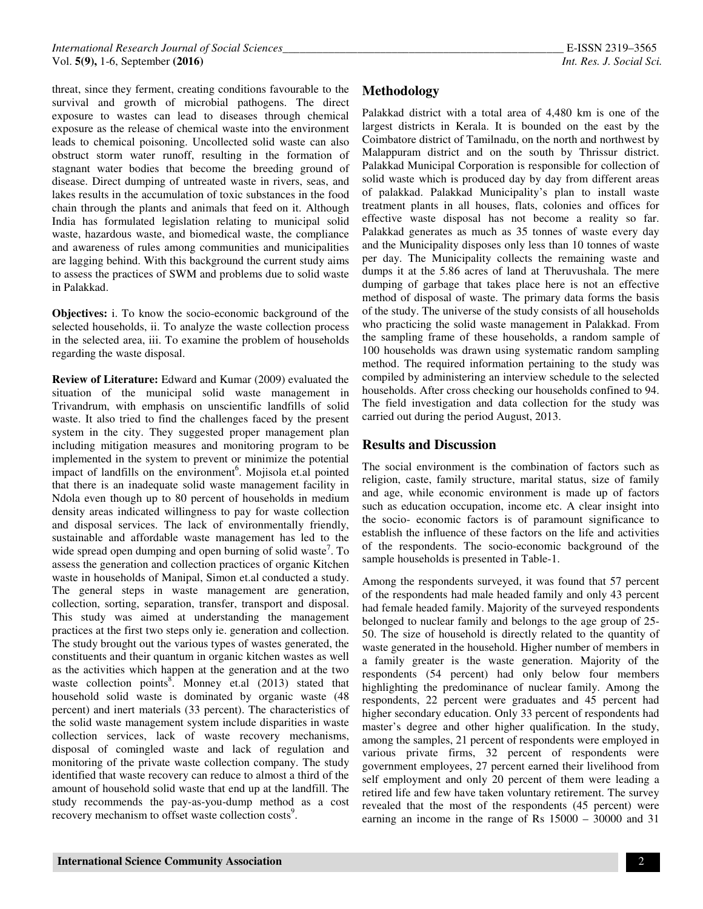threat, since they ferment, creating conditions favourable to the survival and growth of microbial pathogens. The direct exposure to wastes can lead to diseases through chemical exposure as the release of chemical waste into the environment leads to chemical poisoning. Uncollected solid waste can also obstruct storm water runoff, resulting in the formation of stagnant water bodies that become the breeding ground of disease. Direct dumping of untreated waste in rivers, seas, and lakes results in the accumulation of toxic substances in the food chain through the plants and animals that feed on it. Although India has formulated legislation relating to municipal solid waste, hazardous waste, and biomedical waste, the compliance and awareness of rules among communities and municipalities are lagging behind. With this background the current study aims to assess the practices of SWM and problems due to solid waste in Palakkad.

**Objectives:** i. To know the socio-economic background of the selected households, ii. To analyze the waste collection process in the selected area, iii. To examine the problem of households regarding the waste disposal.

**Review of Literature:** Edward and Kumar (2009) evaluated the situation of the municipal solid waste management in Trivandrum, with emphasis on unscientific landfills of solid waste. It also tried to find the challenges faced by the present system in the city. They suggested proper management plan including mitigation measures and monitoring program to be implemented in the system to prevent or minimize the potential impact of landfills on the environment<sup>6</sup>. Mojisola et.al pointed that there is an inadequate solid waste management facility in Ndola even though up to 80 percent of households in medium density areas indicated willingness to pay for waste collection and disposal services. The lack of environmentally friendly, sustainable and affordable waste management has led to the wide spread open dumping and open burning of solid waste<sup>7</sup>. To assess the generation and collection practices of organic Kitchen waste in households of Manipal, Simon et.al conducted a study. The general steps in waste management are generation, collection, sorting, separation, transfer, transport and disposal. This study was aimed at understanding the management practices at the first two steps only ie. generation and collection. The study brought out the various types of wastes generated, the constituents and their quantum in organic kitchen wastes as well as the activities which happen at the generation and at the two waste collection points<sup>8</sup>. Monney et.al (2013) stated that household solid waste is dominated by organic waste (48 percent) and inert materials (33 percent). The characteristics of the solid waste management system include disparities in waste collection services, lack of waste recovery mechanisms, disposal of comingled waste and lack of regulation and monitoring of the private waste collection company. The study identified that waste recovery can reduce to almost a third of the amount of household solid waste that end up at the landfill. The study recommends the pay-as-you-dump method as a cost recovery mechanism to offset waste collection costs<sup>9</sup>.

## **Methodology**

Palakkad district with a total area of 4,480 km is one of the largest districts in Kerala. It is bounded on the east by the Coimbatore district of Tamilnadu, on the north and northwest by Malappuram district and on the south by Thrissur district. Palakkad Municipal Corporation is responsible for collection of solid waste which is produced day by day from different areas of palakkad. Palakkad Municipality's plan to install waste treatment plants in all houses, flats, colonies and offices for effective waste disposal has not become a reality so far. Palakkad generates as much as 35 tonnes of waste every day and the Municipality disposes only less than 10 tonnes of waste per day. The Municipality collects the remaining waste and dumps it at the 5.86 acres of land at Theruvushala. The mere dumping of garbage that takes place here is not an effective method of disposal of waste. The primary data forms the basis of the study. The universe of the study consists of all households who practicing the solid waste management in Palakkad. From the sampling frame of these households, a random sample of 100 households was drawn using systematic random sampling method. The required information pertaining to the study was compiled by administering an interview schedule to the selected households. After cross checking our households confined to 94. The field investigation and data collection for the study was carried out during the period August, 2013.

### **Results and Discussion**

The social environment is the combination of factors such as religion, caste, family structure, marital status, size of family and age, while economic environment is made up of factors such as education occupation, income etc. A clear insight into the socio- economic factors is of paramount significance to establish the influence of these factors on the life and activities of the respondents. The socio-economic background of the sample households is presented in Table-1.

Among the respondents surveyed, it was found that 57 percent of the respondents had male headed family and only 43 percent had female headed family. Majority of the surveyed respondents belonged to nuclear family and belongs to the age group of 25- 50. The size of household is directly related to the quantity of waste generated in the household. Higher number of members in a family greater is the waste generation. Majority of the respondents (54 percent) had only below four members highlighting the predominance of nuclear family. Among the respondents, 22 percent were graduates and 45 percent had higher secondary education. Only 33 percent of respondents had master's degree and other higher qualification. In the study, among the samples, 21 percent of respondents were employed in various private firms, 32 percent of respondents were government employees, 27 percent earned their livelihood from self employment and only 20 percent of them were leading a retired life and few have taken voluntary retirement. The survey revealed that the most of the respondents (45 percent) were earning an income in the range of Rs 15000 – 30000 and 31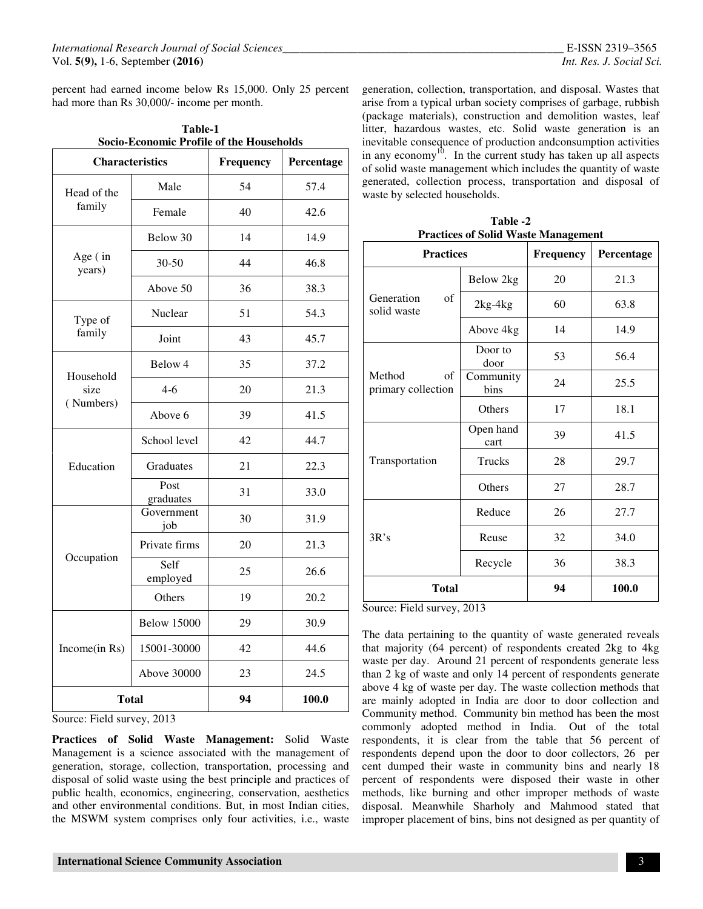percent had earned income below Rs 15,000. Only 25 percent had more than Rs 30,000/- income per month.

| Table-1                                  |  |  |  |
|------------------------------------------|--|--|--|
| Socio-Economic Profile of the Households |  |  |  |
|                                          |  |  |  |

| <b>Characteristics</b> |                    | Frequency | Percentage |  |
|------------------------|--------------------|-----------|------------|--|
| Head of the            | Male               | 54        | 57.4       |  |
| family                 | Female             | 40        | 42.6       |  |
|                        | Below 30           | 14        | 14.9       |  |
| Age (in<br>years)      | $30 - 50$          | 44        | 46.8       |  |
|                        | Above 50           | 36        | 38.3       |  |
| Type of                | Nuclear            | 51        | 54.3       |  |
| family                 | Joint              | 43        | 45.7       |  |
|                        | Below 4            | 35        | 37.2       |  |
| Household<br>size      | $4-6$              | 20        | 21.3       |  |
| (Numbers)              | Above 6            | 39        | 41.5       |  |
| Education              | School level       | 42        | 44.7       |  |
|                        | Graduates          | 21        | 22.3       |  |
|                        | Post<br>graduates  | 31        | 33.0       |  |
|                        | Government<br>job  | 30        | 31.9       |  |
|                        | Private firms      | 20        | 21.3       |  |
| Occupation             | Self<br>employed   | 25        | 26.6       |  |
|                        | Others             | 19        | 20.2       |  |
| Income(in Rs)          | <b>Below 15000</b> | 29        | 30.9       |  |
|                        | 15001-30000        | 42        | 44.6       |  |
|                        | Above 30000        | 23        | 24.5       |  |
| <b>Total</b>           |                    | 94        | 100.0      |  |

Source: Field survey, 2013

**Practices of Solid Waste Management:** Solid Waste Management is a science associated with the management of generation, storage, collection, transportation, processing and disposal of solid waste using the best principle and practices of public health, economics, engineering, conservation, aesthetics and other environmental conditions. But, in most Indian cities, the MSWM system comprises only four activities, i.e., waste generation, collection, transportation, and disposal. Wastes that arise from a typical urban society comprises of garbage, rubbish (package materials), construction and demolition wastes, leaf litter, hazardous wastes, etc. Solid waste generation is an inevitable consequence of production andconsumption activities in any economy<sup>10</sup>. In the current study has taken up all aspects of solid waste management which includes the quantity of waste generated, collection process, transportation and disposal of waste by selected households.

**Table -2 Practices of Solid Waste Management** 

| <b>Practices</b>                   |                       | <b>Frequency</b> | Percentage |  |
|------------------------------------|-----------------------|------------------|------------|--|
| Generation<br>οf<br>solid waste    | Below 2kg             | 20               | 21.3       |  |
|                                    | $2kg-4kg$             |                  | 63.8       |  |
|                                    | Above 4kg             | 14               | 14.9       |  |
| Method<br>of<br>primary collection | Door to<br>53<br>door |                  | 56.4       |  |
|                                    | Community<br>bins     | 24               | 25.5       |  |
|                                    | Others                | 17               | 18.1       |  |
| Transportation                     | Open hand<br>cart     | 39               | 41.5       |  |
|                                    | <b>Trucks</b>         | 28               | 29.7       |  |
|                                    | Others                |                  | 28.7       |  |
| 3R's                               | Reduce                |                  | 27.7       |  |
|                                    | Reuse                 |                  | 34.0       |  |
|                                    | Recycle               | 36               | 38.3       |  |
| <b>Total</b>                       |                       | 94               | 100.0      |  |

Source: Field survey, 2013

The data pertaining to the quantity of waste generated reveals that majority (64 percent) of respondents created 2kg to 4kg waste per day. Around 21 percent of respondents generate less than 2 kg of waste and only 14 percent of respondents generate above 4 kg of waste per day. The waste collection methods that are mainly adopted in India are door to door collection and Community method. Community bin method has been the most commonly adopted method in India. Out of the total respondents, it is clear from the table that 56 percent of respondents depend upon the door to door collectors, 26 per cent dumped their waste in community bins and nearly 18 percent of respondents were disposed their waste in other methods, like burning and other improper methods of waste disposal. Meanwhile Sharholy and Mahmood stated that improper placement of bins, bins not designed as per quantity of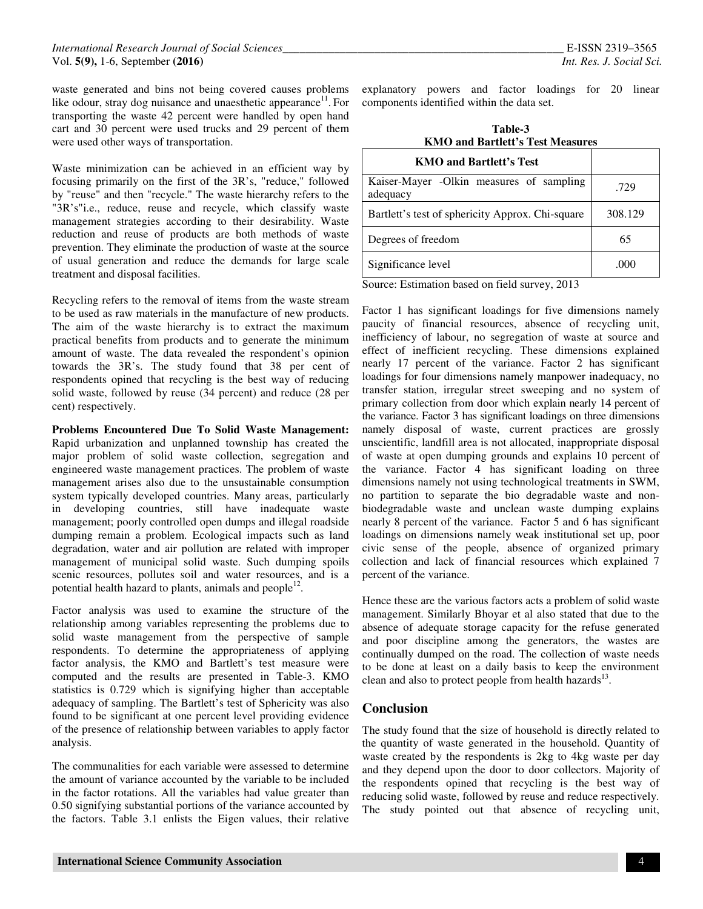waste generated and bins not being covered causes problems like odour, stray dog nuisance and unaesthetic appearance<sup>11</sup>. For transporting the waste 42 percent were handled by open hand cart and 30 percent were used trucks and 29 percent of them were used other ways of transportation.

Waste minimization can be achieved in an efficient way by focusing primarily on the first of the 3R's, "reduce," followed by "reuse" and then "recycle." The waste hierarchy refers to the "3R's"i.e., reduce, reuse and recycle, which classify waste management strategies according to their desirability. Waste reduction and reuse of products are both methods of waste prevention. They eliminate the production of waste at the source of usual generation and reduce the demands for large scale treatment and disposal facilities.

Recycling refers to the removal of items from the waste stream to be used as raw materials in the manufacture of new products. The aim of the waste hierarchy is to extract the maximum practical benefits from products and to generate the minimum amount of waste. The data revealed the respondent's opinion towards the 3R's. The study found that 38 per cent of respondents opined that recycling is the best way of reducing solid waste, followed by reuse (34 percent) and reduce (28 per cent) respectively.

**Problems Encountered Due To Solid Waste Management:** Rapid urbanization and unplanned township has created the major problem of solid waste collection, segregation and engineered waste management practices. The problem of waste management arises also due to the unsustainable consumption system typically developed countries. Many areas, particularly in developing countries, still have inadequate waste management; poorly controlled open dumps and illegal roadside dumping remain a problem. Ecological impacts such as land degradation, water and air pollution are related with improper management of municipal solid waste. Such dumping spoils scenic resources, pollutes soil and water resources, and is a potential health hazard to plants, animals and people $^{12}$ .

Factor analysis was used to examine the structure of the relationship among variables representing the problems due to solid waste management from the perspective of sample respondents. To determine the appropriateness of applying factor analysis, the KMO and Bartlett's test measure were computed and the results are presented in Table-3. KMO statistics is 0.729 which is signifying higher than acceptable adequacy of sampling. The Bartlett's test of Sphericity was also found to be significant at one percent level providing evidence of the presence of relationship between variables to apply factor analysis.

The communalities for each variable were assessed to determine the amount of variance accounted by the variable to be included in the factor rotations. All the variables had value greater than 0.50 signifying substantial portions of the variance accounted by the factors. Table 3.1 enlists the Eigen values, their relative

explanatory powers and factor loadings for 20 linear components identified within the data set.

| Table-3                                 |  |
|-----------------------------------------|--|
| <b>KMO and Bartlett's Test Measures</b> |  |
|                                         |  |

| <b>KMO and Bartlett's Test</b>                       |         |  |
|------------------------------------------------------|---------|--|
| Kaiser-Mayer -Olkin measures of sampling<br>adequacy | .729    |  |
| Bartlett's test of sphericity Approx. Chi-square     | 308.129 |  |
| Degrees of freedom                                   | 65      |  |
| Significance level                                   | .000    |  |

Source: Estimation based on field survey, 2013

Factor 1 has significant loadings for five dimensions namely paucity of financial resources, absence of recycling unit, inefficiency of labour, no segregation of waste at source and effect of inefficient recycling. These dimensions explained nearly 17 percent of the variance. Factor 2 has significant loadings for four dimensions namely manpower inadequacy, no transfer station, irregular street sweeping and no system of primary collection from door which explain nearly 14 percent of the variance. Factor 3 has significant loadings on three dimensions namely disposal of waste, current practices are grossly unscientific, landfill area is not allocated, inappropriate disposal of waste at open dumping grounds and explains 10 percent of the variance. Factor 4 has significant loading on three dimensions namely not using technological treatments in SWM, no partition to separate the bio degradable waste and nonbiodegradable waste and unclean waste dumping explains nearly 8 percent of the variance. Factor 5 and 6 has significant loadings on dimensions namely weak institutional set up, poor civic sense of the people, absence of organized primary collection and lack of financial resources which explained 7 percent of the variance.

Hence these are the various factors acts a problem of solid waste management. Similarly Bhoyar et al also stated that due to the absence of adequate storage capacity for the refuse generated and poor discipline among the generators, the wastes are continually dumped on the road. The collection of waste needs to be done at least on a daily basis to keep the environment clean and also to protect people from health hazards<sup>13</sup>.

## **Conclusion**

The study found that the size of household is directly related to the quantity of waste generated in the household. Quantity of waste created by the respondents is 2kg to 4kg waste per day and they depend upon the door to door collectors. Majority of the respondents opined that recycling is the best way of reducing solid waste, followed by reuse and reduce respectively. The study pointed out that absence of recycling unit,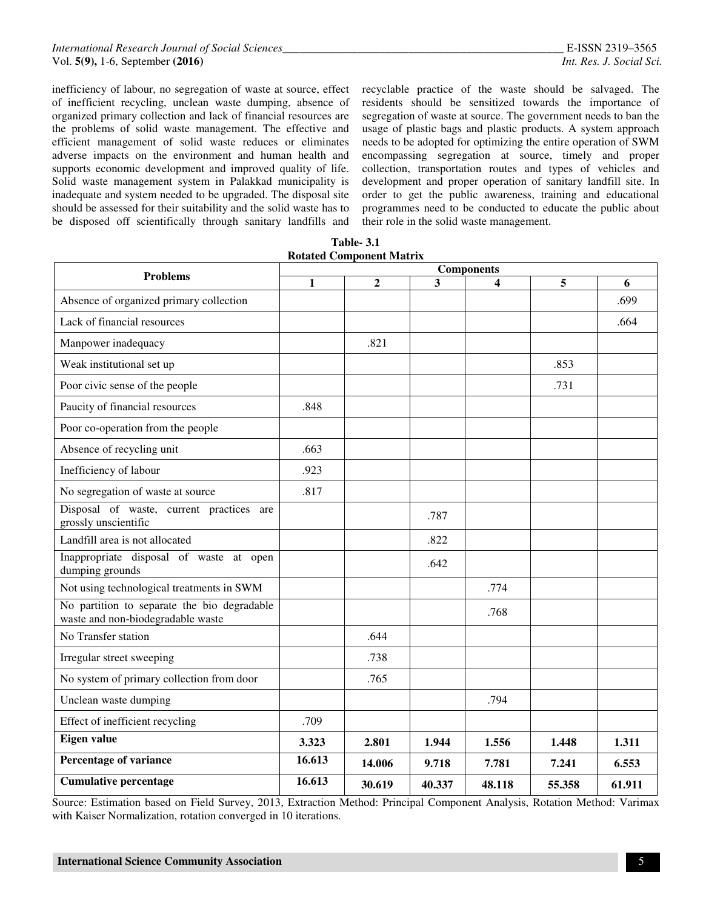inefficiency of labour, no segregation of waste at source, effect of inefficient recycling, unclean waste dumping, absence of organized primary collection and lack of financial resources are the problems of solid waste management. The effective and efficient management of solid waste reduces or eliminates adverse impacts on the environment and human health and supports economic development and improved quality of life. Solid waste management system in Palakkad municipality is inadequate and system needed to be upgraded. The disposal site should be assessed for their suitability and the solid waste has to be disposed off scientifically through sanitary landfills and

recyclable practice of the waste should be salvaged. The residents should be sensitized towards the importance of segregation of waste at source. The government needs to ban the usage of plastic bags and plastic products. A system approach needs to be adopted for optimizing the entire operation of SWM encompassing segregation at source, timely and proper collection, transportation routes and types of vehicles and development and proper operation of sanitary landfill site. In order to get the public awareness, training and educational programmes need to be conducted to educate the public about their role in the solid waste management.

| <b>Problems</b>                                                                  | <b>Components</b> |                |        |        |        |        |
|----------------------------------------------------------------------------------|-------------------|----------------|--------|--------|--------|--------|
|                                                                                  | 1                 | $\overline{2}$ | 3      |        | 5      | 6      |
| Absence of organized primary collection                                          |                   |                |        |        |        | .699   |
| Lack of financial resources                                                      |                   |                |        |        |        | .664   |
| Manpower inadequacy                                                              |                   | .821           |        |        |        |        |
| Weak institutional set up                                                        |                   |                |        |        | .853   |        |
| Poor civic sense of the people                                                   |                   |                |        |        | .731   |        |
| Paucity of financial resources                                                   | .848              |                |        |        |        |        |
| Poor co-operation from the people                                                |                   |                |        |        |        |        |
| Absence of recycling unit                                                        | .663              |                |        |        |        |        |
| Inefficiency of labour                                                           | .923              |                |        |        |        |        |
| No segregation of waste at source                                                | .817              |                |        |        |        |        |
| Disposal of waste, current practices are<br>grossly unscientific                 |                   |                | .787   |        |        |        |
| Landfill area is not allocated                                                   |                   |                | .822   |        |        |        |
| Inappropriate disposal of waste at open<br>dumping grounds                       |                   |                | .642   |        |        |        |
| Not using technological treatments in SWM                                        |                   |                |        | .774   |        |        |
| No partition to separate the bio degradable<br>waste and non-biodegradable waste |                   |                |        | .768   |        |        |
| No Transfer station                                                              |                   | .644           |        |        |        |        |
| Irregular street sweeping                                                        |                   | .738           |        |        |        |        |
| No system of primary collection from door                                        |                   | .765           |        |        |        |        |
| Unclean waste dumping                                                            |                   |                |        | .794   |        |        |
| Effect of inefficient recycling                                                  | .709              |                |        |        |        |        |
| Eigen value                                                                      | 3.323             | 2.801          | 1.944  | 1.556  | 1.448  | 1.311  |
| Percentage of variance                                                           | 16.613            | 14.006         | 9.718  | 7.781  | 7.241  | 6.553  |
| <b>Cumulative percentage</b>                                                     | 16.613            | 30.619         | 40.337 | 48.118 | 55.358 | 61.911 |

**Table- 3.1 Rotated Component Matrix** 

Source: Estimation based on Field Survey, 2013, Extraction Method: Principal Component Analysis, Rotation Method: Varimax with Kaiser Normalization, rotation converged in 10 iterations.